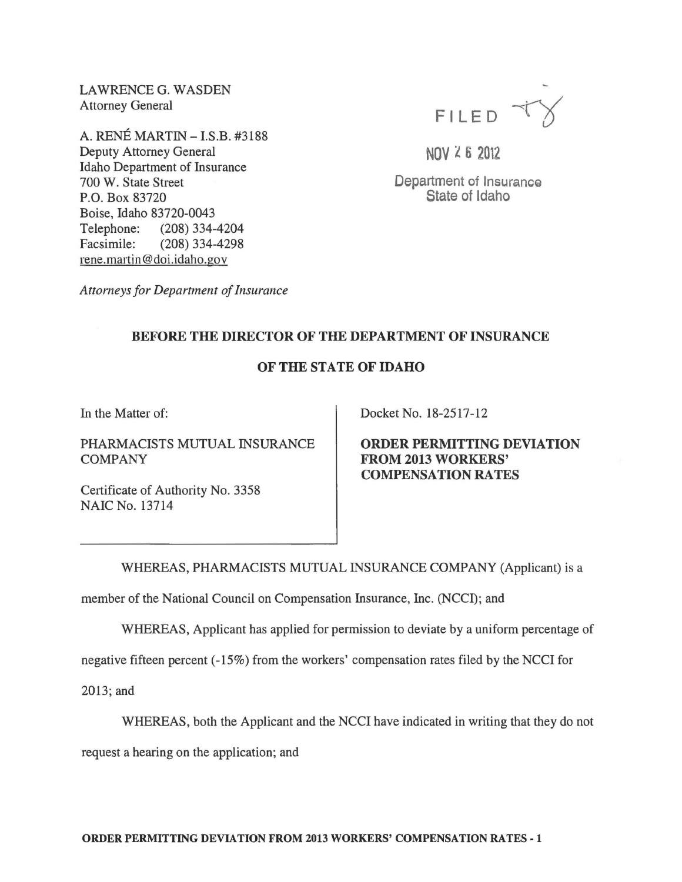LAWRENCE G. WASDEN Attorney General

A. RENÉ MARTIN - I.S.B. #3188 Deputy Attorney General Idaho Department of Insurance 700 W. State Street P.O. Box 83720 Boise, Idaho 83720-0043 Telephone: (208) 334-4204 Facsimile: (208) 334-4298 rene.martin@doi.idaho.gov



 $NOV < 6$  2012

Department of Insurance State of Idaho

*Attorneys for Department of Insurance* 

## BEFORE THE DIRECTOR OF THE DEPARTMENT OF INSURANCE

## OF THE STATE OF IDAHO

In the Matter of:

PHARMACISTS MUTUAL INSURANCE COMPANY

Certificate of Authority No. 3358 NAIC No. 13714

Docket No. 18-2517-12

ORDER PERMITTING DEVIATION FROM 2013 WORKERS' COMPENSATION RATES

WHEREAS, PHARMACISTS MUTUAL INSURANCE COMPANY (Applicant) is a

member of the National Council on Compensation Insurance, Inc. (NCCI); and

WHEREAS, Applicant has applied for permission to deviate by a uniform percentage of

negative fifteen percent (-15%) from the workers' compensation rates filed by the NCCI for

2013; and

WHEREAS, both the Applicant and the NCCI have indicated in writing that they do not

request a hearing on the application; and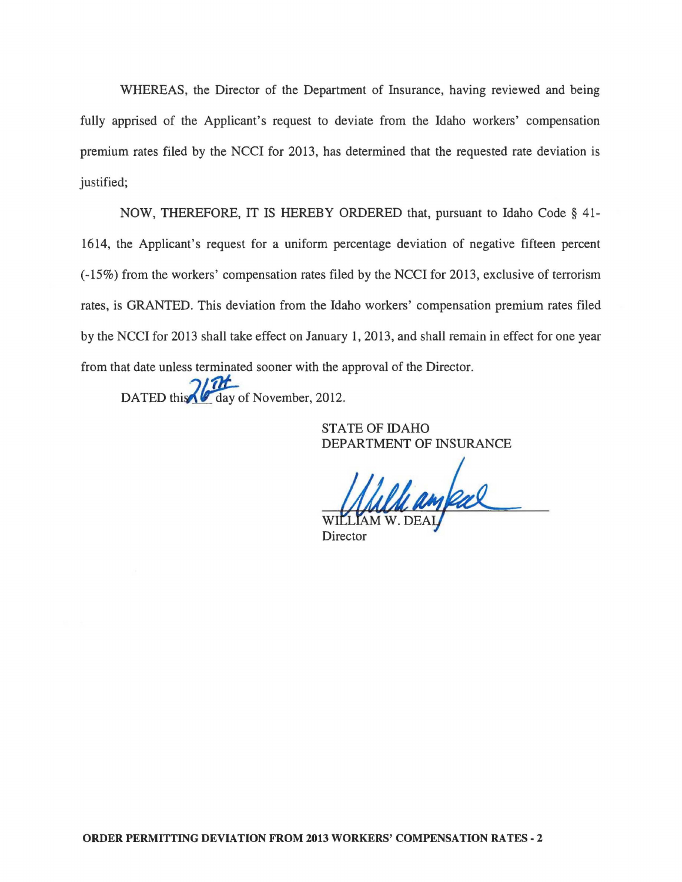WHEREAS, the Director of the Department of Insurance, having reviewed and being fully apprised of the Applicant's request to deviate from the Idaho workers' compensation premium rates filed by the NCCI for 2013, has determined that the requested rate deviation is justified;

NOW, THEREFORE, IT IS HEREBY ORDERED that, pursuant to Idaho Code § 41- 1614, the Applicant's request for a uniform percentage deviation of negative fifteen percent (-15%) from the workers' compensation rates filed by the NCCI for 2013, exclusive of terrorism rates, is GRANTED. This deviation from the Idaho workers' compensation premium rates filed by the NCCI for 2013 shall take effect on January 1,2013, and shall remain in effect for one year from that date unless terminated sooner with the approval of the Director.

DATED this 2012.

STATE OF IDAHO DEPARTMENT OF INSURANCE

le ampal

**Director**